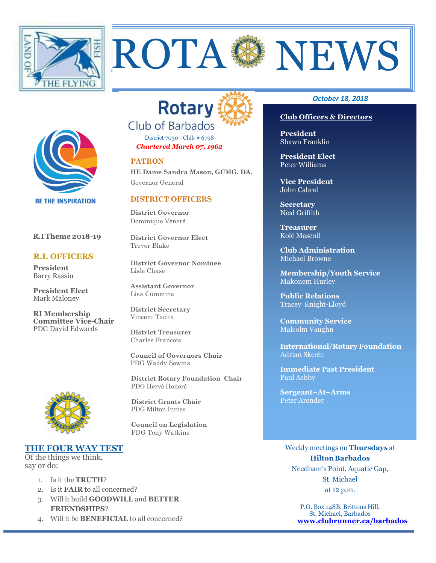



ROTA SANEWS

District 7030 - Club # 6798 *Chartered March 07, 1962* 

## **PATRON**

**HE Dame Sandra Mason, GCMG, DA.**  Governor General

## **DISTRICT OFFICERS**

**District Governor** Dominique Véneré

**District Governor Elect** Trevor Blake

**District Governor Nominee**  Lisle Chase

**Assistant Governor**  Lisa Cummins

**District Secretary**  Vincent Tacita

**District Treasurer**  Charles Francois

**Council of Governors Chair**  PDG Waddy Sowma

 **District Rotary Foundation Chair** PDG Hervé Honoré



 **District Grants Chair** PDG Milton Inniss

 **Council on Legislation**  PDG Tony Watkins

# **THE FOUR WAY TEST**

Of the things we think, say or do:

- 1. Is it the **TRUTH**?
- 2. Is it **FAIR** to all concerned?
- 3. Will it build **GOODWILL** and **BETTER FRIENDSHIPS**?
- 4. Will it be **BENEFICIAL** to all concerned?

## *October 18, 2018*

# **Club Officers & Directors**

**President** Shawn Franklin

**President Elect**  Peter Williams

**Vice President**  John Cabral

**Secretary**  Neal Griffith

**Treasurer**  Kolé Mascoll

**Club Administration**  Michael Browne

**Membership/Youth Service**  Makonem Hurley

**Public Relations**  Tracey Knight-Lloyd

**Community Service**  Malcolm Vaughn

**International/Rotary Foundation**  Adrian Skeete

**Immediate Past President**  Paul Ashby

**Sergeant–At–Arms**  Peter Arender

Weekly meetings on **Thursdays** at **Hilton Barbados** Needham's Point, Aquatic Gap, St. Michael at 12 p.m.

> P.O. Box 148B, Brittons Hill, St. Michael, Barbados **www.clubrunner.ca/barbados**

**BE THE INSPIRATION** 

#### **R.I Theme 2018-19**

# **R.I. OFFICERS**

**President** Barry Rassin

**President Elect** Mark Maloney

**RI Membership Committee Vice-Chair**  PDG David Edwards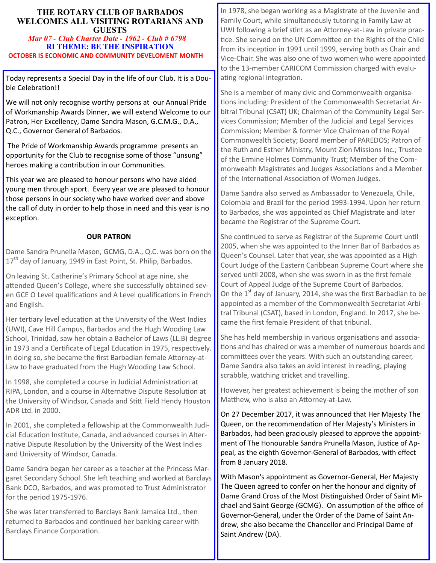## **THE ROTARY CLUB OF BARBADOS WELCOMES ALL VISITING ROTARIANS AND GUESTS**

 *Mar 07 - Club Charter Date - 1962 - Club # 6798* **RI THEME: BE THE INSPIRATION OCTOBER IS ECONOMIC AND COMMUNITY DEVELOMENT MONTH** 

Today represents a Special Day in the life of our Club. It is a Double Celebration!!

We will not only recognise worthy persons at our Annual Pride of Workmanship Awards Dinner, we will extend Welcome to our Patron, Her Excellency, Dame Sandra Mason, G.C.M.G., D.A., Q.C., Governor General of Barbados.

 The Pride of Workmanship Awards programme presents an opportunity for the Club to recognise some of those "unsung" heroes making a contribution in our Communities.

This year we are pleased to honour persons who have aided young men through sport. Every year we are pleased to honour those persons in our society who have worked over and above the call of duty in order to help those in need and this year is no exception.

# **OUR PATRON**

Dame Sandra Prunella Mason, GCMG, D.A., Q.C. was born on the 17<sup>th</sup> day of January, 1949 in East Point, St. Philip, Barbados.

On leaving St. Catherine's Primary School at age nine, she attended Queen's College, where she successfully obtained seven GCE O Level qualifications and A Level qualifications in French and English.

Her tertiary level education at the University of the West Indies (UWI), Cave Hill Campus, Barbados and the Hugh Wooding Law School, Trinidad, saw her obtain a Bachelor of Laws (LL.B) degree in 1973 and a Certificate of Legal Education in 1975, respectively. In doing so, she became the first Barbadian female Attorney-at-Law to have graduated from the Hugh Wooding Law School.

In 1998, she completed a course in Judicial Administration at RIPA, London, and a course in Alternative Dispute Resolution at the University of Windsor, Canada and Stitt Field Hendy Houston ADR Ltd. in 2000.

In 2001, she completed a fellowship at the Commonwealth Judicial Education Institute, Canada, and advanced courses in Alternative Dispute Resolution by the University of the West Indies and University of Windsor, Canada.

Dame Sandra began her career as a teacher at the Princess Margaret Secondary School. She left teaching and worked at Barclays Bank DCO, Barbados, and was promoted to Trust Administrator for the period 1975-1976.

She was later transferred to Barclays Bank Jamaica Ltd., then returned to Barbados and continued her banking career with Barclays Finance Corporation.

In 1978, she began working as a Magistrate of the Juvenile and Family Court, while simultaneously tutoring in Family Law at UWI following a brief stint as an Attorney-at-Law in private practice. She served on the UN Committee on the Rights of the Child from its inception in 1991 until 1999, serving both as Chair and Vice-Chair. She was also one of two women who were appointed to the 13-member CARICOM Commission charged with evaluating regional integration.

She is a member of many civic and Commonwealth organisa tions including: President of the Commonwealth Secretariat Arbitral Tribunal (CSAT) UK; Chairman of the Community Legal Services Commission; Member of the Judicial and Legal Services Commission; Member & former Vice Chairman of the Royal Commonwealth Society; Board member of PAREDOS; Patron of the Ruth and Esther Ministry, Mount Zion Missions Inc.; Trustee of the Ermine Holmes Community Trust; Member of the Commonwealth Magistrates and Judges Associations and a Member of the International Association of Women Judges.

Dame Sandra also served as Ambassador to Venezuela, Chile, Colombia and Brazil for the period 1993-1994. Upon her return to Barbados, she was appointed as Chief Magistrate and later became the Registrar of the Supreme Court.

She continued to serve as Registrar of the Supreme Court until 2005, when she was appointed to the Inner Bar of Barbados as Queen's Counsel. Later that year, she was appointed as a High Court Judge of the Eastern Caribbean Supreme Court where she served until 2008, when she was sworn in as the first female Court of Appeal Judge of the Supreme Court of Barbados. On the  $1<sup>st</sup>$  day of January, 2014, she was the first Barbadian to be appointed as a member of the Commonwealth Secretariat Arbitral Tribunal (CSAT), based in London, England. In 2017, she became the first female President of that tribunal.

She has held membership in various organisations and associations and has chaired or was a member of numerous boards and committees over the years. With such an outstanding career, Dame Sandra also takes an avid interest in reading, playing scrabble, watching cricket and travelling.

However, her greatest achievement is being the mother of son Matthew, who is also an Attorney-at-Law.

On 27 December 2017, it was announced that Her Majesty The Queen, on the recommendation of Her Majesty's Ministers in Barbados, had been graciously pleased to approve the appointment of The Honourable Sandra Prunella Mason, Justice of Appeal, as the eighth Governor-General of Barbados, with effect from 8 January 2018.

With Mason's appointment as Governor-General, Her Majesty The Queen agreed to confer on her the honour and dignity of Dame Grand Cross of the Most Distinguished Order of Saint Michael and Saint George (GCMG). On assumption of the office of Governor-General, under the Order of the Dame of Saint Andrew, she also became the Chancellor and Principal Dame of Saint Andrew (DA).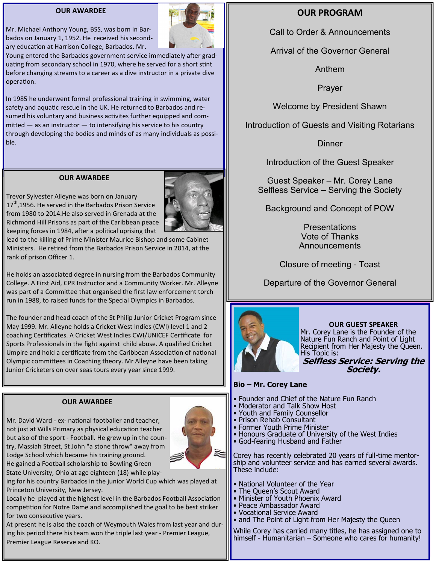## **OUR AWARDEE**

Mr. Michael Anthony Young, BSS, was born in Barbados on January 1, 1952. He received his secondary education at Harrison College, Barbados. Mr.



Young entered the Barbados government service immediately after graduating from secondary school in 1970, where he served for a short stint before changing streams to a career as a dive instructor in a private dive operation.

In 1985 he underwent formal professional training in swimming, water safety and aquatic rescue in the UK. He returned to Barbados and resumed his voluntary and business activites further equipped and com $mitted - as an instructor - to intensitying his service to his country$ through developing the bodies and minds of as many individuals as possible.

## **OUR AWARDEE**

Trevor Sylvester Alleyne was born on January  $17<sup>th</sup>$ ,1956. He served in the Barbados Prison Service from 1980 to 2014.He also served in Grenada at the Richmond Hill Prisons as part of the Caribbean peace keeping forces in 1984, after a political uprising that

lead to the killing of Prime Minister Maurice Bishop and some Cabinet Ministers. He retired from the Barbados Prison Service in 2014, at the rank of prison Officer 1.

He holds an associated degree in nursing from the Barbados Community College. A First Aid, CPR Instructor and a Community Worker. Mr. Alleyne was part of a Committee that organised the first law enforcement torch run in 1988, to raised funds for the Special Olympics in Barbados.

The founder and head coach of the St Philip Junior Cricket Program since May 1999. Mr. Alleyne holds a Cricket West Indies (CWI) level 1 and 2 coaching Certificates. A Cricket West Indies CWI/UNICEF Certificate for Sports Professionals in the fight against child abuse. A qualified Cricket Umpire and hold a certificate from the Caribbean Association of national Olympic committees in Coaching theory. Mr Alleyne have been taking Junior Cricketers on over seas tours every year since 1999.

## **OUR AWARDEE**

Mr. David Ward - ex- national footballer and teacher, not just at Wills Primary as physical education teacher but also of the sport - Football. He grew up in the country, Massiah Street, St John "a stone throw" away from Lodge School which became his training ground. He gained a Football scholarship to Bowling Green State University, Ohio at age eighteen (18) while play-



ing for his country Barbados in the junior World Cup which was played at Princeton University, New Jersey.

Locally he played at the highest level in the Barbados Football Association competition for Notre Dame and accomplished the goal to be best striker for two consecutive years.

At present he is also the coach of Weymouth Wales from last year and during his period there his team won the triple last year - Premier League, Premier League Reserve and KO.

# **OUR PROGRAM**

Call to Order & Announcements

Arrival of the Governor General

Anthem

Prayer

Welcome by President Shawn

Introduction of Guests and Visiting Rotarians

**Dinner** 

Introduction of the Guest Speaker

Guest Speaker – Mr. Corey Lane Selfless Service – Serving the Society

Background and Concept of POW

**Presentations** Vote of Thanks Announcements

Closure of meeting - Toast

Departure of the Governor General



**OUR GUEST SPEAKER**  Mr. Corey Lane is the Founder of the Nature Fun Ranch and Point of Light Recipient from Her Majesty the Queen. His Topic is:

**Selfless Service: Serving the Society.** 

## **Bio – Mr. Corey Lane**

- Founder and Chief of the Nature Fun Ranch
- Moderator and Talk Show Host
- Youth and Family Counsellor
- Prison Rehab Consultant
- Former Youth Prime Minister
- Honours Graduate of University of the West Indies
- God-fearing Husband and Father

Corey has recently celebrated 20 years of full-time mentorship and volunteer service and has earned several awards. These include:

- National Volunteer of the Year
- The Queen's Scout Award
- Minister of Youth Phoenix Award
- Peace Ambassador Award
- Vocational Service Award
- and The Point of Light from Her Majesty the Queen

While Corey has carried many titles, he has assigned one to himself - Humanitarian – Someone who cares for humanity!